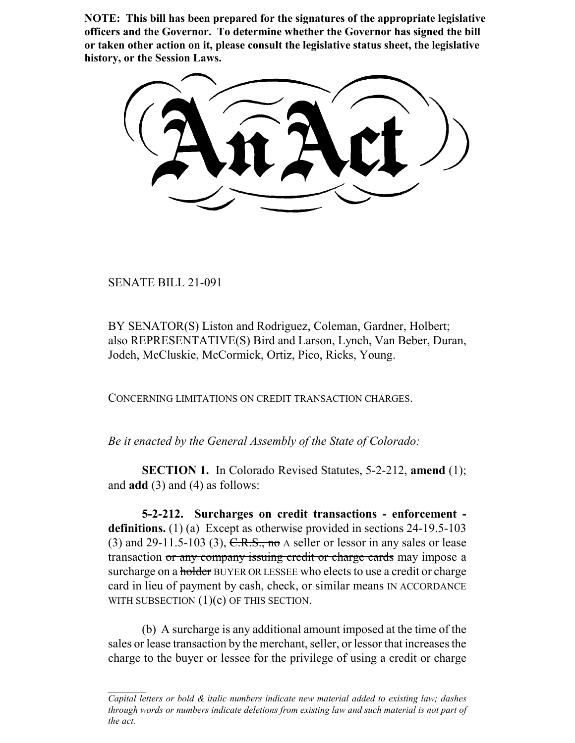**NOTE: This bill has been prepared for the signatures of the appropriate legislative officers and the Governor. To determine whether the Governor has signed the bill or taken other action on it, please consult the legislative status sheet, the legislative history, or the Session Laws.**

SENATE BILL 21-091

BY SENATOR(S) Liston and Rodriguez, Coleman, Gardner, Holbert; also REPRESENTATIVE(S) Bird and Larson, Lynch, Van Beber, Duran, Jodeh, McCluskie, McCormick, Ortiz, Pico, Ricks, Young.

CONCERNING LIMITATIONS ON CREDIT TRANSACTION CHARGES.

*Be it enacted by the General Assembly of the State of Colorado:*

**SECTION 1.** In Colorado Revised Statutes, 5-2-212, **amend** (1); and **add** (3) and (4) as follows:

**5-2-212. Surcharges on credit transactions - enforcement definitions.** (1) (a) Except as otherwise provided in sections 24-19.5-103 (3) and 29-11.5-103 (3),  $C.R.S.,$  no A seller or lessor in any sales or lease transaction or any company issuing credit or charge cards may impose a surcharge on a holder BUYER OR LESSEE who elects to use a credit or charge card in lieu of payment by cash, check, or similar means IN ACCORDANCE WITH SUBSECTION  $(1)(c)$  OF THIS SECTION.

(b) A surcharge is any additional amount imposed at the time of the sales or lease transaction by the merchant, seller, or lessor that increases the charge to the buyer or lessee for the privilege of using a credit or charge

*Capital letters or bold & italic numbers indicate new material added to existing law; dashes through words or numbers indicate deletions from existing law and such material is not part of the act.*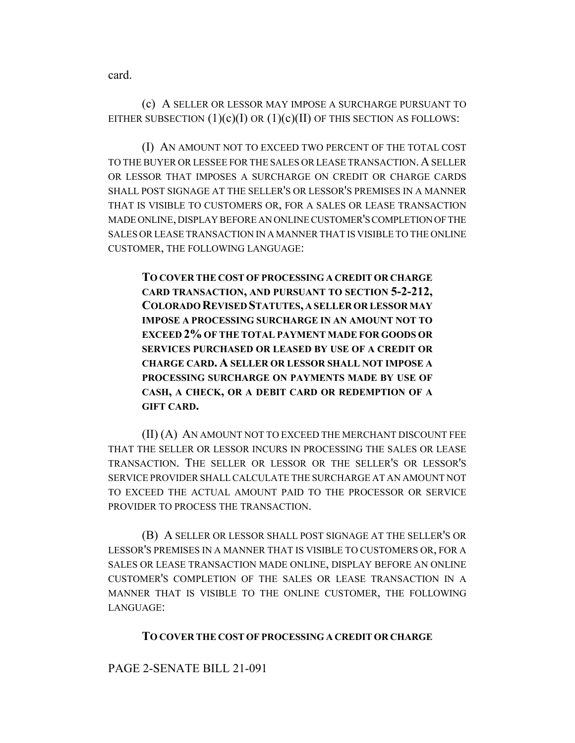card.

(c) A SELLER OR LESSOR MAY IMPOSE A SURCHARGE PURSUANT TO EITHER SUBSECTION  $(1)(c)(I)$  OR  $(1)(c)(II)$  OF THIS SECTION AS FOLLOWS:

(I) AN AMOUNT NOT TO EXCEED TWO PERCENT OF THE TOTAL COST TO THE BUYER OR LESSEE FOR THE SALES OR LEASE TRANSACTION.A SELLER OR LESSOR THAT IMPOSES A SURCHARGE ON CREDIT OR CHARGE CARDS SHALL POST SIGNAGE AT THE SELLER'S OR LESSOR'S PREMISES IN A MANNER THAT IS VISIBLE TO CUSTOMERS OR, FOR A SALES OR LEASE TRANSACTION MADE ONLINE, DISPLAY BEFORE AN ONLINE CUSTOMER'S COMPLETION OF THE SALES OR LEASE TRANSACTION IN A MANNER THAT IS VISIBLE TO THE ONLINE CUSTOMER, THE FOLLOWING LANGUAGE:

**TO COVER THE COST OF PROCESSING A CREDIT OR CHARGE CARD TRANSACTION, AND PURSUANT TO SECTION 5-2-212, COLORADO REVISED STATUTES, A SELLER OR LESSOR MAY IMPOSE A PROCESSING SURCHARGE IN AN AMOUNT NOT TO EXCEED 2% OF THE TOTAL PAYMENT MADE FOR GOODS OR SERVICES PURCHASED OR LEASED BY USE OF A CREDIT OR CHARGE CARD. A SELLER OR LESSOR SHALL NOT IMPOSE A PROCESSING SURCHARGE ON PAYMENTS MADE BY USE OF CASH, A CHECK, OR A DEBIT CARD OR REDEMPTION OF A GIFT CARD.**

(II) (A) AN AMOUNT NOT TO EXCEED THE MERCHANT DISCOUNT FEE THAT THE SELLER OR LESSOR INCURS IN PROCESSING THE SALES OR LEASE TRANSACTION. THE SELLER OR LESSOR OR THE SELLER'S OR LESSOR'S SERVICE PROVIDER SHALL CALCULATE THE SURCHARGE AT AN AMOUNT NOT TO EXCEED THE ACTUAL AMOUNT PAID TO THE PROCESSOR OR SERVICE PROVIDER TO PROCESS THE TRANSACTION.

(B) A SELLER OR LESSOR SHALL POST SIGNAGE AT THE SELLER'S OR LESSOR'S PREMISES IN A MANNER THAT IS VISIBLE TO CUSTOMERS OR, FOR A SALES OR LEASE TRANSACTION MADE ONLINE, DISPLAY BEFORE AN ONLINE CUSTOMER'S COMPLETION OF THE SALES OR LEASE TRANSACTION IN A MANNER THAT IS VISIBLE TO THE ONLINE CUSTOMER, THE FOLLOWING LANGUAGE:

## **TO COVER THE COST OF PROCESSING A CREDIT OR CHARGE**

## PAGE 2-SENATE BILL 21-091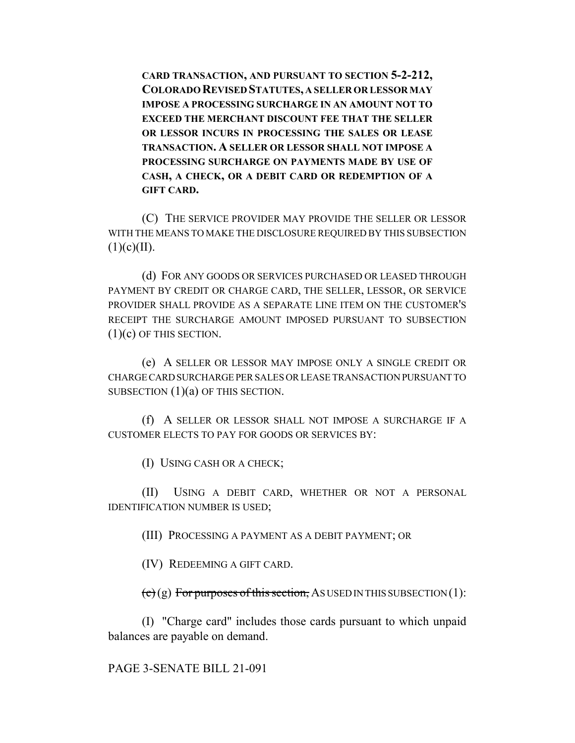**CARD TRANSACTION, AND PURSUANT TO SECTION 5-2-212, COLORADO REVISED STATUTES, A SELLER OR LESSOR MAY IMPOSE A PROCESSING SURCHARGE IN AN AMOUNT NOT TO EXCEED THE MERCHANT DISCOUNT FEE THAT THE SELLER OR LESSOR INCURS IN PROCESSING THE SALES OR LEASE TRANSACTION. A SELLER OR LESSOR SHALL NOT IMPOSE A PROCESSING SURCHARGE ON PAYMENTS MADE BY USE OF CASH, A CHECK, OR A DEBIT CARD OR REDEMPTION OF A GIFT CARD.**

(C) THE SERVICE PROVIDER MAY PROVIDE THE SELLER OR LESSOR WITH THE MEANS TO MAKE THE DISCLOSURE REQUIRED BY THIS SUBSECTION  $(1)(c)(II).$ 

(d) FOR ANY GOODS OR SERVICES PURCHASED OR LEASED THROUGH PAYMENT BY CREDIT OR CHARGE CARD, THE SELLER, LESSOR, OR SERVICE PROVIDER SHALL PROVIDE AS A SEPARATE LINE ITEM ON THE CUSTOMER'S RECEIPT THE SURCHARGE AMOUNT IMPOSED PURSUANT TO SUBSECTION  $(1)(c)$  OF THIS SECTION.

(e) A SELLER OR LESSOR MAY IMPOSE ONLY A SINGLE CREDIT OR CHARGE CARD SURCHARGE PER SALES OR LEASE TRANSACTION PURSUANT TO SUBSECTION  $(1)(a)$  OF THIS SECTION.

(f) A SELLER OR LESSOR SHALL NOT IMPOSE A SURCHARGE IF A CUSTOMER ELECTS TO PAY FOR GOODS OR SERVICES BY:

(I) USING CASH OR A CHECK;

(II) USING A DEBIT CARD, WHETHER OR NOT A PERSONAL IDENTIFICATION NUMBER IS USED;

(III) PROCESSING A PAYMENT AS A DEBIT PAYMENT; OR

(IV) REDEEMING A GIFT CARD.

 $\left(\mathbf{c}\right)$  (g) For purposes of this section, AS USED IN THIS SUBSECTION (1):

(I) "Charge card" includes those cards pursuant to which unpaid balances are payable on demand.

PAGE 3-SENATE BILL 21-091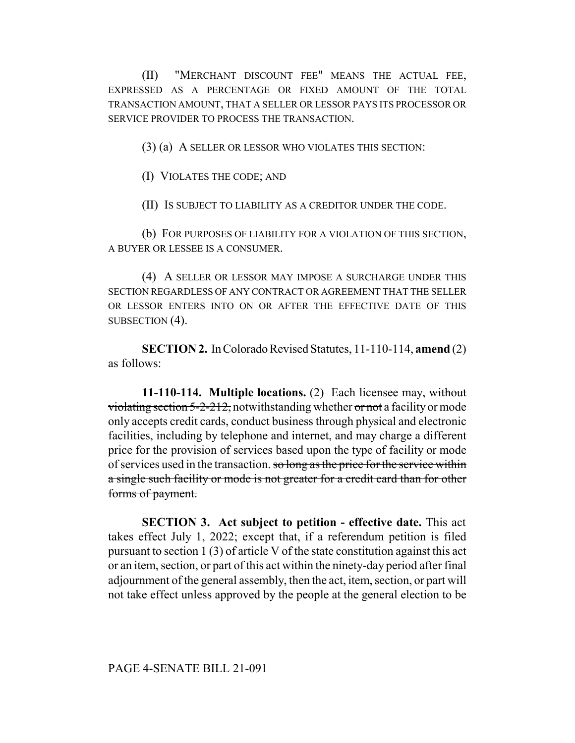(II) "MERCHANT DISCOUNT FEE" MEANS THE ACTUAL FEE, EXPRESSED AS A PERCENTAGE OR FIXED AMOUNT OF THE TOTAL TRANSACTION AMOUNT, THAT A SELLER OR LESSOR PAYS ITS PROCESSOR OR SERVICE PROVIDER TO PROCESS THE TRANSACTION.

(3) (a) A SELLER OR LESSOR WHO VIOLATES THIS SECTION:

(I) VIOLATES THE CODE; AND

(II) IS SUBJECT TO LIABILITY AS A CREDITOR UNDER THE CODE.

(b) FOR PURPOSES OF LIABILITY FOR A VIOLATION OF THIS SECTION, A BUYER OR LESSEE IS A CONSUMER.

(4) A SELLER OR LESSOR MAY IMPOSE A SURCHARGE UNDER THIS SECTION REGARDLESS OF ANY CONTRACT OR AGREEMENT THAT THE SELLER OR LESSOR ENTERS INTO ON OR AFTER THE EFFECTIVE DATE OF THIS SUBSECTION (4).

**SECTION 2.** In Colorado Revised Statutes, 11-110-114, **amend** (2) as follows:

**11-110-114. Multiple locations.** (2) Each licensee may, without violating section  $5-2-212$ , notwithstanding whether or not a facility or mode only accepts credit cards, conduct business through physical and electronic facilities, including by telephone and internet, and may charge a different price for the provision of services based upon the type of facility or mode of services used in the transaction. so long as the price for the service within a single such facility or mode is not greater for a credit card than for other forms of payment.

**SECTION 3. Act subject to petition - effective date.** This act takes effect July 1, 2022; except that, if a referendum petition is filed pursuant to section 1 (3) of article V of the state constitution against this act or an item, section, or part of this act within the ninety-day period after final adjournment of the general assembly, then the act, item, section, or part will not take effect unless approved by the people at the general election to be